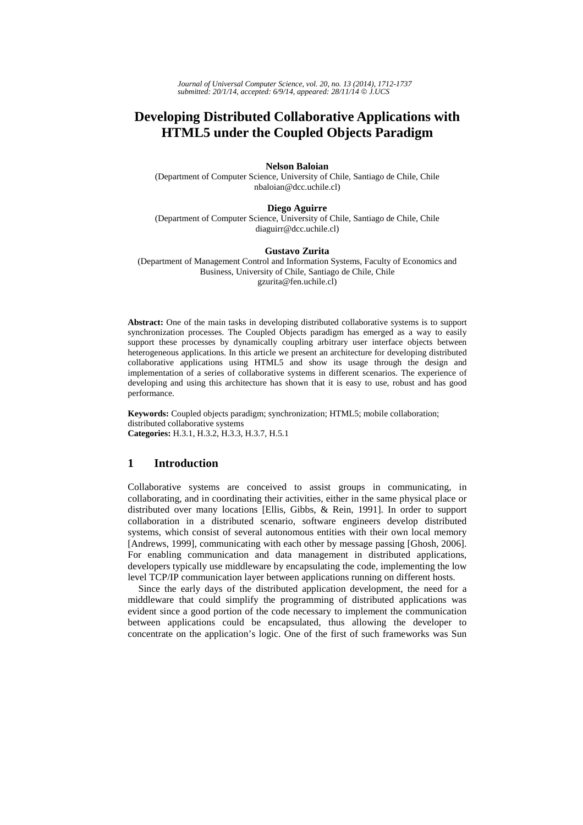# **Developing Distributed Collaborative Applications with HTML5 under the Coupled Objects Paradigm**

#### **Nelson Baloian**

(Department of Computer Science, University of Chile, Santiago de Chile, Chile nbaloian@dcc.uchile.cl)

#### **Diego Aguirre**

(Department of Computer Science, University of Chile, Santiago de Chile, Chile diaguirr@dcc.uchile.cl)

### **Gustavo Zurita**

(Department of Management Control and Information Systems, Faculty of Economics and Business, University of Chile, Santiago de Chile, Chile gzurita@fen.uchile.cl)

**Abstract:** One of the main tasks in developing distributed collaborative systems is to support synchronization processes. The Coupled Objects paradigm has emerged as a way to easily support these processes by dynamically coupling arbitrary user interface objects between heterogeneous applications. In this article we present an architecture for developing distributed collaborative applications using HTML5 and show its usage through the design and implementation of a series of collaborative systems in different scenarios. The experience of developing and using this architecture has shown that it is easy to use, robust and has good performance.

**Keywords:** Coupled objects paradigm; synchronization; HTML5; mobile collaboration; distributed collaborative systems **Categories:** H.3.1, H.3.2, H.3.3, H.3.7, H.5.1

# **1 Introduction**

Collaborative systems are conceived to assist groups in communicating, in collaborating, and in coordinating their activities, either in the same physical place or distributed over many locations [Ellis, Gibbs, & Rein, 1991]. In order to support collaboration in a distributed scenario, software engineers develop distributed systems, which consist of several autonomous entities with their own local memory [Andrews, 1999], communicating with each other by message passing [Ghosh, 2006]. For enabling communication and data management in distributed applications, developers typically use middleware by encapsulating the code, implementing the low level TCP/IP communication layer between applications running on different hosts.

Since the early days of the distributed application development, the need for a middleware that could simplify the programming of distributed applications was evident since a good portion of the code necessary to implement the communication between applications could be encapsulated, thus allowing the developer to concentrate on the application's logic. One of the first of such frameworks was Sun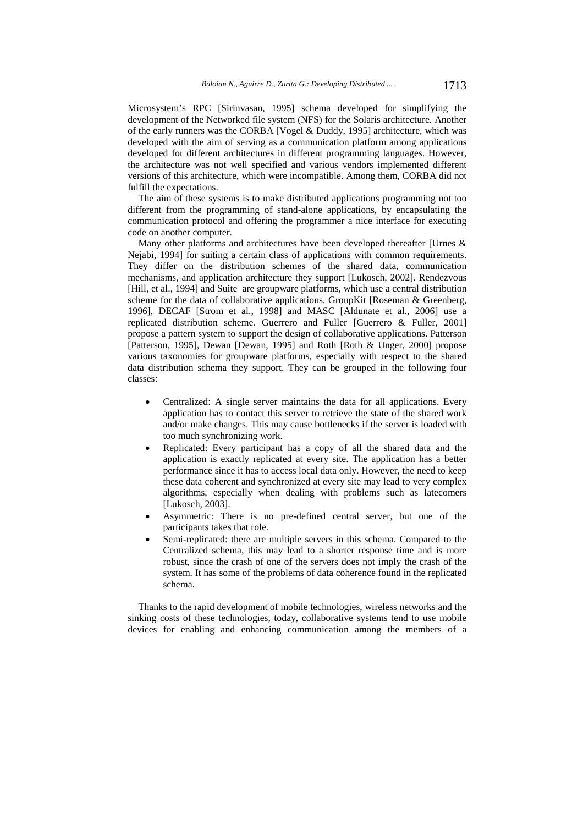Microsystem's RPC [Sirinvasan, 1995] schema developed for simplifying the development of the Networked file system (NFS) for the Solaris architecture. Another of the early runners was the CORBA [Vogel & Duddy, 1995] architecture, which was developed with the aim of serving as a communication platform among applications developed for different architectures in different programming languages. However, the architecture was not well specified and various vendors implemented different versions of this architecture, which were incompatible. Among them, CORBA did not fulfill the expectations.

The aim of these systems is to make distributed applications programming not too different from the programming of stand-alone applications, by encapsulating the communication protocol and offering the programmer a nice interface for executing code on another computer.

Many other platforms and architectures have been developed thereafter [Urnes & Nejabi, 1994] for suiting a certain class of applications with common requirements. They differ on the distribution schemes of the shared data, communication mechanisms, and application architecture they support [Lukosch, 2002]. Rendezvous [Hill, et al., 1994] and Suite are groupware platforms, which use a central distribution scheme for the data of collaborative applications. GroupKit [Roseman & Greenberg, 1996], DECAF [Strom et al., 1998] and MASC [Aldunate et al., 2006] use a replicated distribution scheme. Guerrero and Fuller [Guerrero & Fuller, 2001] propose a pattern system to support the design of collaborative applications. Patterson [Patterson, 1995], Dewan [Dewan, 1995] and Roth [Roth & Unger, 2000] propose various taxonomies for groupware platforms, especially with respect to the shared data distribution schema they support. They can be grouped in the following four classes:

- Centralized: A single server maintains the data for all applications. Every application has to contact this server to retrieve the state of the shared work and/or make changes. This may cause bottlenecks if the server is loaded with too much synchronizing work.
- Replicated: Every participant has a copy of all the shared data and the application is exactly replicated at every site. The application has a better performance since it has to access local data only. However, the need to keep these data coherent and synchronized at every site may lead to very complex algorithms, especially when dealing with problems such as latecomers [Lukosch, 2003].
- Asymmetric: There is no pre-defined central server, but one of the participants takes that role.
- Semi-replicated: there are multiple servers in this schema. Compared to the Centralized schema, this may lead to a shorter response time and is more robust, since the crash of one of the servers does not imply the crash of the system. It has some of the problems of data coherence found in the replicated schema.

Thanks to the rapid development of mobile technologies, wireless networks and the sinking costs of these technologies, today, collaborative systems tend to use mobile devices for enabling and enhancing communication among the members of a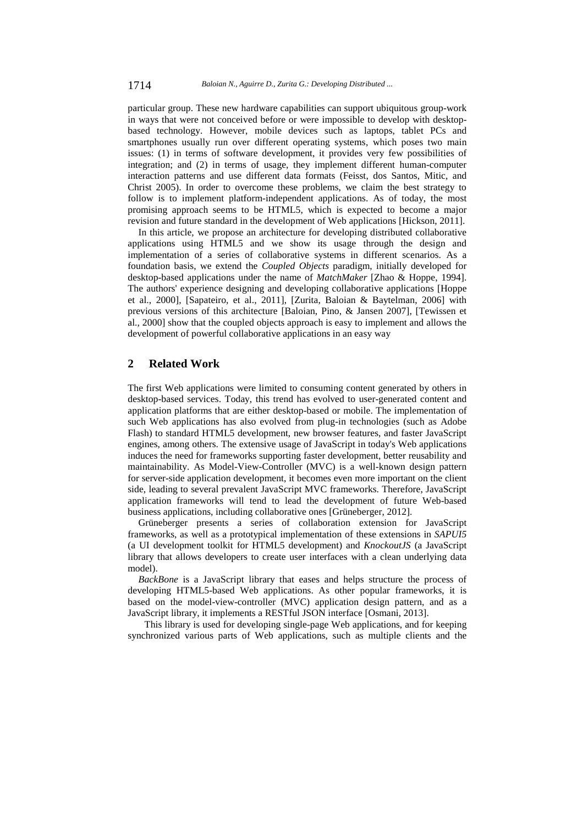particular group. These new hardware capabilities can support ubiquitous group-work in ways that were not conceived before or were impossible to develop with desktopbased technology. However, mobile devices such as laptops, tablet PCs and smartphones usually run over different operating systems, which poses two main issues: (1) in terms of software development, it provides very few possibilities of integration; and (2) in terms of usage, they implement different human-computer interaction patterns and use different data formats (Feisst, dos Santos, Mitic, and Christ 2005). In order to overcome these problems, we claim the best strategy to follow is to implement platform-independent applications. As of today, the most promising approach seems to be HTML5, which is expected to become a major revision and future standard in the development of Web applications [Hickson, 2011].

In this article, we propose an architecture for developing distributed collaborative applications using HTML5 and we show its usage through the design and implementation of a series of collaborative systems in different scenarios. As a foundation basis, we extend the *Coupled Objects* paradigm, initially developed for desktop-based applications under the name of *MatchMaker* [Zhao & Hoppe, 1994]. The authors' experience designing and developing collaborative applications [Hoppe et al., 2000], [Sapateiro, et al., 2011], [Zurita, Baloian & Baytelman, 2006] with previous versions of this architecture [Baloian, Pino, & Jansen 2007], [Tewissen et al., 2000] show that the coupled objects approach is easy to implement and allows the development of powerful collaborative applications in an easy way

# **2 Related Work**

The first Web applications were limited to consuming content generated by others in desktop-based services. Today, this trend has evolved to user-generated content and application platforms that are either desktop-based or mobile. The implementation of such Web applications has also evolved from plug-in technologies (such as Adobe Flash) to standard HTML5 development, new browser features, and faster JavaScript engines, among others. The extensive usage of JavaScript in today's Web applications induces the need for frameworks supporting faster development, better reusability and maintainability. As Model-View-Controller (MVC) is a well-known design pattern for server-side application development, it becomes even more important on the client side, leading to several prevalent JavaScript MVC frameworks. Therefore, JavaScript application frameworks will tend to lead the development of future Web-based business applications, including collaborative ones [Grüneberger, 2012].

Grüneberger presents a series of collaboration extension for JavaScript frameworks, as well as a prototypical implementation of these extensions in *SAPUI5* (a UI development toolkit for HTML5 development) and *KnockoutJS* (a JavaScript library that allows developers to create user interfaces with a clean underlying data model).

*BackBone* is a JavaScript library that eases and helps structure the process of developing HTML5-based Web applications. As other popular frameworks, it is based on the model-view-controller (MVC) application design pattern, and as a JavaScript library, it implements a RESTful JSON interface [Osmani, 2013].

This library is used for developing single-page Web applications, and for keeping synchronized various parts of Web applications, such as multiple clients and the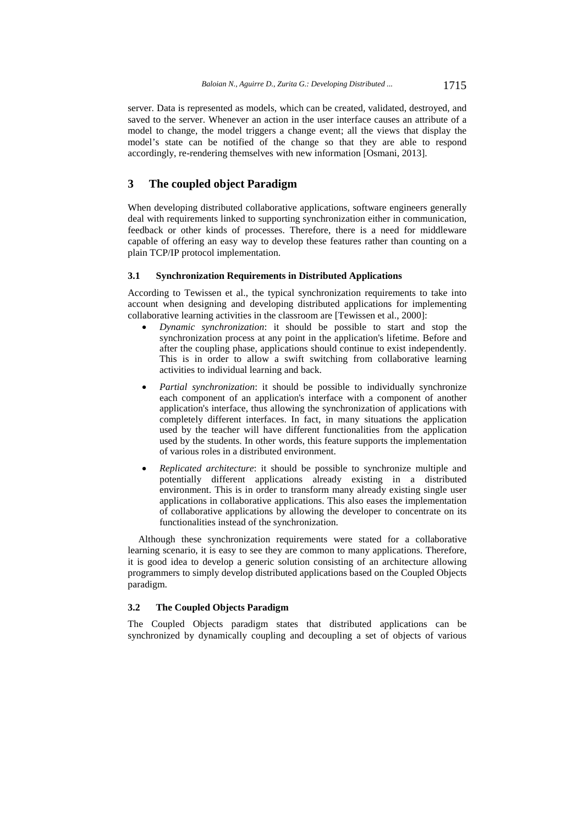server. Data is represented as models, which can be created, validated, destroyed, and saved to the server. Whenever an action in the user interface causes an attribute of a model to change, the model triggers a change event; all the views that display the model's state can be notified of the change so that they are able to respond accordingly, re-rendering themselves with new information [Osmani, 2013].

# **3 The coupled object Paradigm**

When developing distributed collaborative applications, software engineers generally deal with requirements linked to supporting synchronization either in communication, feedback or other kinds of processes. Therefore, there is a need for middleware capable of offering an easy way to develop these features rather than counting on a plain TCP/IP protocol implementation.

### **3.1 Synchronization Requirements in Distributed Applications**

According to Tewissen et al., the typical synchronization requirements to take into account when designing and developing distributed applications for implementing collaborative learning activities in the classroom are [Tewissen et al., 2000]:

- *Dynamic synchronization*: it should be possible to start and stop the synchronization process at any point in the application's lifetime. Before and after the coupling phase, applications should continue to exist independently. This is in order to allow a swift switching from collaborative learning activities to individual learning and back.
- *Partial synchronization*: it should be possible to individually synchronize each component of an application's interface with a component of another application's interface, thus allowing the synchronization of applications with completely different interfaces. In fact, in many situations the application used by the teacher will have different functionalities from the application used by the students. In other words, this feature supports the implementation of various roles in a distributed environment.
- *Replicated architecture*: it should be possible to synchronize multiple and potentially different applications already existing in a distributed environment. This is in order to transform many already existing single user applications in collaborative applications. This also eases the implementation of collaborative applications by allowing the developer to concentrate on its functionalities instead of the synchronization.

Although these synchronization requirements were stated for a collaborative learning scenario, it is easy to see they are common to many applications. Therefore, it is good idea to develop a generic solution consisting of an architecture allowing programmers to simply develop distributed applications based on the Coupled Objects paradigm.

## **3.2 The Coupled Objects Paradigm**

The Coupled Objects paradigm states that distributed applications can be synchronized by dynamically coupling and decoupling a set of objects of various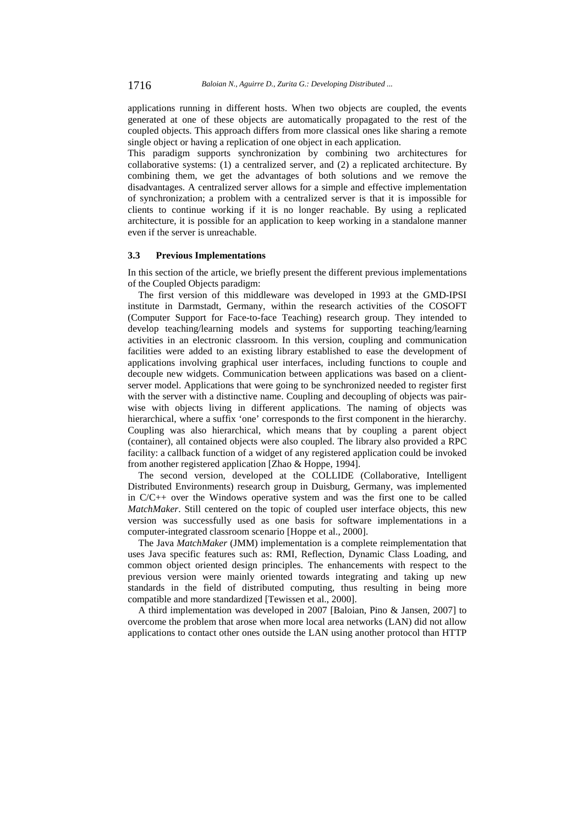applications running in different hosts. When two objects are coupled, the events generated at one of these objects are automatically propagated to the rest of the coupled objects. This approach differs from more classical ones like sharing a remote single object or having a replication of one object in each application.

This paradigm supports synchronization by combining two architectures for collaborative systems: (1) a centralized server, and (2) a replicated architecture. By combining them, we get the advantages of both solutions and we remove the disadvantages. A centralized server allows for a simple and effective implementation of synchronization; a problem with a centralized server is that it is impossible for clients to continue working if it is no longer reachable. By using a replicated architecture, it is possible for an application to keep working in a standalone manner even if the server is unreachable.

#### **3.3 Previous Implementations**

In this section of the article, we briefly present the different previous implementations of the Coupled Objects paradigm:

The first version of this middleware was developed in 1993 at the GMD-IPSI institute in Darmstadt, Germany, within the research activities of the COSOFT (Computer Support for Face-to-face Teaching) research group. They intended to develop teaching/learning models and systems for supporting teaching/learning activities in an electronic classroom. In this version, coupling and communication facilities were added to an existing library established to ease the development of applications involving graphical user interfaces, including functions to couple and decouple new widgets. Communication between applications was based on a clientserver model. Applications that were going to be synchronized needed to register first with the server with a distinctive name. Coupling and decoupling of objects was pairwise with objects living in different applications. The naming of objects was hierarchical, where a suffix 'one' corresponds to the first component in the hierarchy. Coupling was also hierarchical, which means that by coupling a parent object (container), all contained objects were also coupled. The library also provided a RPC facility: a callback function of a widget of any registered application could be invoked from another registered application [Zhao & Hoppe, 1994].

The second version, developed at the COLLIDE (Collaborative, Intelligent Distributed Environments) research group in Duisburg, Germany, was implemented in C/C++ over the Windows operative system and was the first one to be called *MatchMaker*. Still centered on the topic of coupled user interface objects, this new version was successfully used as one basis for software implementations in a computer-integrated classroom scenario [Hoppe et al., 2000].

The Java *MatchMaker* (JMM) implementation is a complete reimplementation that uses Java specific features such as: RMI, Reflection, Dynamic Class Loading, and common object oriented design principles. The enhancements with respect to the previous version were mainly oriented towards integrating and taking up new standards in the field of distributed computing, thus resulting in being more compatible and more standardized [Tewissen et al., 2000].

A third implementation was developed in 2007 [Baloian, Pino & Jansen, 2007] to overcome the problem that arose when more local area networks (LAN) did not allow applications to contact other ones outside the LAN using another protocol than HTTP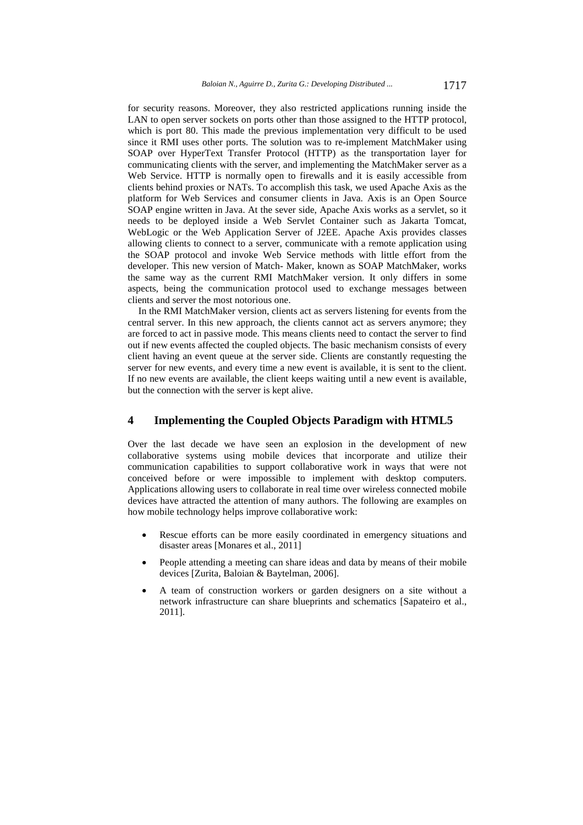for security reasons. Moreover, they also restricted applications running inside the LAN to open server sockets on ports other than those assigned to the HTTP protocol, which is port 80. This made the previous implementation very difficult to be used since it RMI uses other ports. The solution was to re-implement MatchMaker using SOAP over HyperText Transfer Protocol (HTTP) as the transportation layer for communicating clients with the server, and implementing the MatchMaker server as a Web Service. HTTP is normally open to firewalls and it is easily accessible from clients behind proxies or NATs. To accomplish this task, we used Apache Axis as the platform for Web Services and consumer clients in Java. Axis is an Open Source SOAP engine written in Java. At the sever side, Apache Axis works as a servlet, so it needs to be deployed inside a Web Servlet Container such as Jakarta Tomcat, WebLogic or the Web Application Server of J2EE. Apache Axis provides classes allowing clients to connect to a server, communicate with a remote application using the SOAP protocol and invoke Web Service methods with little effort from the developer. This new version of Match- Maker, known as SOAP MatchMaker, works the same way as the current RMI MatchMaker version. It only differs in some aspects, being the communication protocol used to exchange messages between clients and server the most notorious one.

In the RMI MatchMaker version, clients act as servers listening for events from the central server. In this new approach, the clients cannot act as servers anymore; they are forced to act in passive mode. This means clients need to contact the server to find out if new events affected the coupled objects. The basic mechanism consists of every client having an event queue at the server side. Clients are constantly requesting the server for new events, and every time a new event is available, it is sent to the client. If no new events are available, the client keeps waiting until a new event is available, but the connection with the server is kept alive.

### **4 Implementing the Coupled Objects Paradigm with HTML5**

Over the last decade we have seen an explosion in the development of new collaborative systems using mobile devices that incorporate and utilize their communication capabilities to support collaborative work in ways that were not conceived before or were impossible to implement with desktop computers. Applications allowing users to collaborate in real time over wireless connected mobile devices have attracted the attention of many authors. The following are examples on how mobile technology helps improve collaborative work:

- Rescue efforts can be more easily coordinated in emergency situations and disaster areas [Monares et al., 2011]
- People attending a meeting can share ideas and data by means of their mobile devices [Zurita, Baloian & Baytelman, 2006].
- A team of construction workers or garden designers on a site without a network infrastructure can share blueprints and schematics [Sapateiro et al., 2011].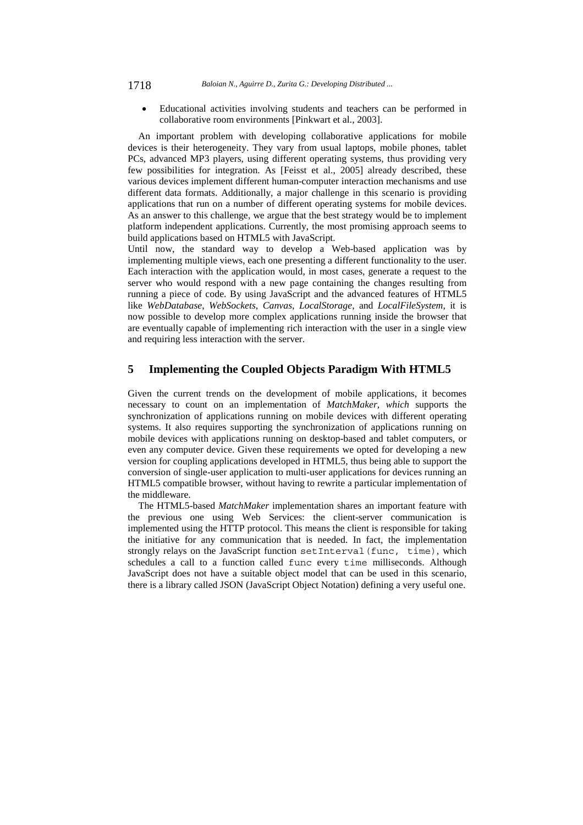Educational activities involving students and teachers can be performed in collaborative room environments [Pinkwart et al., 2003].

An important problem with developing collaborative applications for mobile devices is their heterogeneity. They vary from usual laptops, mobile phones, tablet PCs, advanced MP3 players, using different operating systems, thus providing very few possibilities for integration. As [Feisst et al., 2005] already described, these various devices implement different human-computer interaction mechanisms and use different data formats. Additionally, a major challenge in this scenario is providing applications that run on a number of different operating systems for mobile devices. As an answer to this challenge, we argue that the best strategy would be to implement platform independent applications. Currently, the most promising approach seems to build applications based on HTML5 with JavaScript.

Until now, the standard way to develop a Web-based application was by implementing multiple views, each one presenting a different functionality to the user. Each interaction with the application would, in most cases, generate a request to the server who would respond with a new page containing the changes resulting from running a piece of code. By using JavaScript and the advanced features of HTML5 like *WebDatabase*, *WebSockets*, *Canvas*, *LocalStorage*, and *LocalFileSystem*, it is now possible to develop more complex applications running inside the browser that are eventually capable of implementing rich interaction with the user in a single view and requiring less interaction with the server.

# **5 Implementing the Coupled Objects Paradigm With HTML5**

Given the current trends on the development of mobile applications, it becomes necessary to count on an implementation of *MatchMaker, which* supports the synchronization of applications running on mobile devices with different operating systems. It also requires supporting the synchronization of applications running on mobile devices with applications running on desktop-based and tablet computers, or even any computer device. Given these requirements we opted for developing a new version for coupling applications developed in HTML5, thus being able to support the conversion of single-user application to multi-user applications for devices running an HTML5 compatible browser, without having to rewrite a particular implementation of the middleware.

The HTML5-based *MatchMaker* implementation shares an important feature with the previous one using Web Services: the client-server communication is implemented using the HTTP protocol. This means the client is responsible for taking the initiative for any communication that is needed. In fact, the implementation strongly relays on the JavaScript function setInterval(func, time), which schedules a call to a function called func every time milliseconds. Although JavaScript does not have a suitable object model that can be used in this scenario, there is a library called JSON (JavaScript Object Notation) defining a very useful one.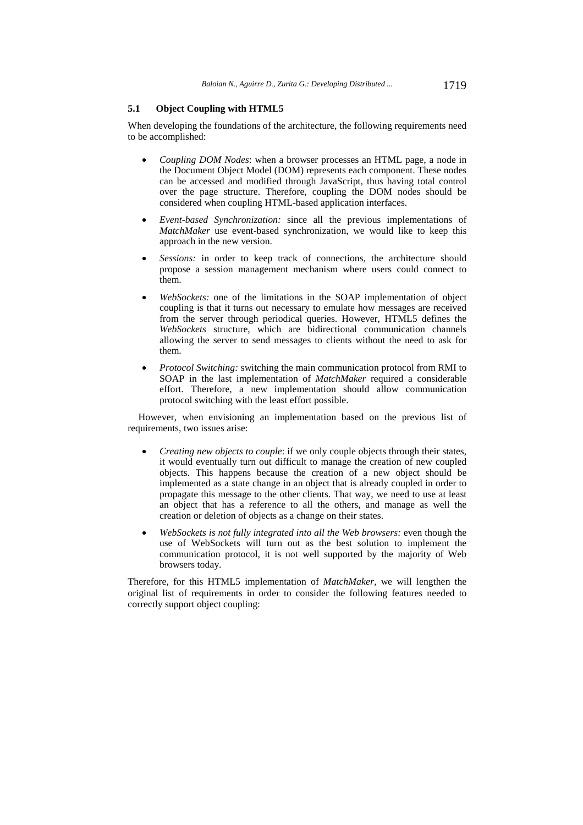#### **5.1 Object Coupling with HTML5**

When developing the foundations of the architecture, the following requirements need to be accomplished:

- *Coupling DOM Nodes*: when a browser processes an HTML page, a node in the Document Object Model (DOM) represents each component. These nodes can be accessed and modified through JavaScript, thus having total control over the page structure. Therefore, coupling the DOM nodes should be considered when coupling HTML-based application interfaces.
- *Event-based Synchronization:* since all the previous implementations of *MatchMaker* use event-based synchronization, we would like to keep this approach in the new version.
- *Sessions:* in order to keep track of connections, the architecture should propose a session management mechanism where users could connect to them.
- *WebSockets:* one of the limitations in the SOAP implementation of object coupling is that it turns out necessary to emulate how messages are received from the server through periodical queries. However, HTML5 defines the *WebSockets* structure, which are bidirectional communication channels allowing the server to send messages to clients without the need to ask for them.
- *Protocol Switching:* switching the main communication protocol from RMI to SOAP in the last implementation of *MatchMaker* required a considerable effort. Therefore, a new implementation should allow communication protocol switching with the least effort possible.

However, when envisioning an implementation based on the previous list of requirements, two issues arise:

- *Creating new objects to couple*: if we only couple objects through their states, it would eventually turn out difficult to manage the creation of new coupled objects. This happens because the creation of a new object should be implemented as a state change in an object that is already coupled in order to propagate this message to the other clients. That way, we need to use at least an object that has a reference to all the others, and manage as well the creation or deletion of objects as a change on their states.
- *WebSockets is not fully integrated into all the Web browsers:* even though the use of WebSockets will turn out as the best solution to implement the communication protocol, it is not well supported by the majority of Web browsers today.

Therefore, for this HTML5 implementation of *MatchMaker*, we will lengthen the original list of requirements in order to consider the following features needed to correctly support object coupling: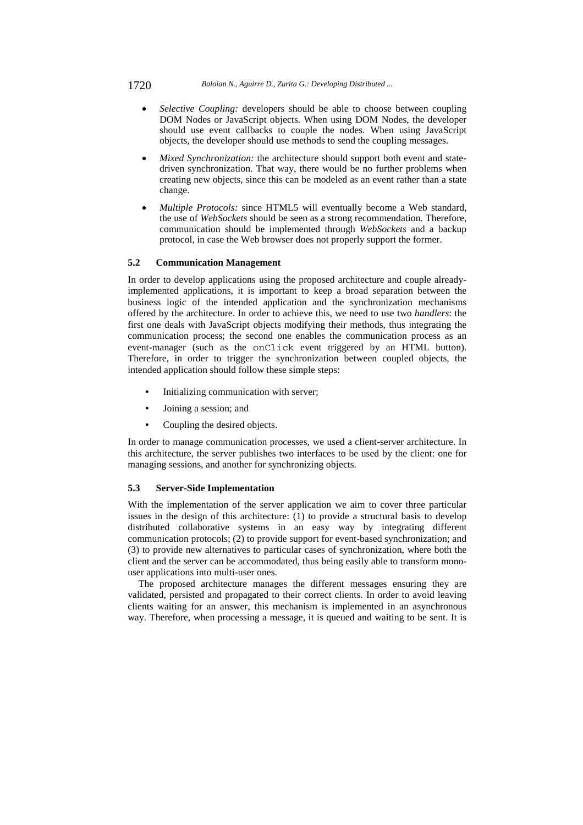1720 *Baloian N., Aguirre D., Zurita G.: Developing Distributed ...*

- *Selective Coupling:* developers should be able to choose between coupling DOM Nodes or JavaScript objects. When using DOM Nodes, the developer should use event callbacks to couple the nodes. When using JavaScript objects, the developer should use methods to send the coupling messages.
- *Mixed Synchronization:* the architecture should support both event and statedriven synchronization. That way, there would be no further problems when creating new objects, since this can be modeled as an event rather than a state change.
- *Multiple Protocols:* since HTML5 will eventually become a Web standard, the use of *WebSockets* should be seen as a strong recommendation. Therefore, communication should be implemented through *WebSockets* and a backup protocol, in case the Web browser does not properly support the former.

### **5.2 Communication Management**

In order to develop applications using the proposed architecture and couple alreadyimplemented applications, it is important to keep a broad separation between the business logic of the intended application and the synchronization mechanisms offered by the architecture. In order to achieve this, we need to use two *handlers*: the first one deals with JavaScript objects modifying their methods, thus integrating the communication process; the second one enables the communication process as an event-manager (such as the onClick event triggered by an HTML button). Therefore, in order to trigger the synchronization between coupled objects, the intended application should follow these simple steps:

- Initializing communication with server;
- Joining a session; and
- Coupling the desired objects.

In order to manage communication processes, we used a client-server architecture. In this architecture, the server publishes two interfaces to be used by the client: one for managing sessions, and another for synchronizing objects.

# **5.3 Server-Side Implementation**

With the implementation of the server application we aim to cover three particular issues in the design of this architecture: (1) to provide a structural basis to develop distributed collaborative systems in an easy way by integrating different communication protocols; (2) to provide support for event-based synchronization; and (3) to provide new alternatives to particular cases of synchronization, where both the client and the server can be accommodated, thus being easily able to transform monouser applications into multi-user ones.

The proposed architecture manages the different messages ensuring they are validated, persisted and propagated to their correct clients. In order to avoid leaving clients waiting for an answer, this mechanism is implemented in an asynchronous way. Therefore, when processing a message, it is queued and waiting to be sent. It is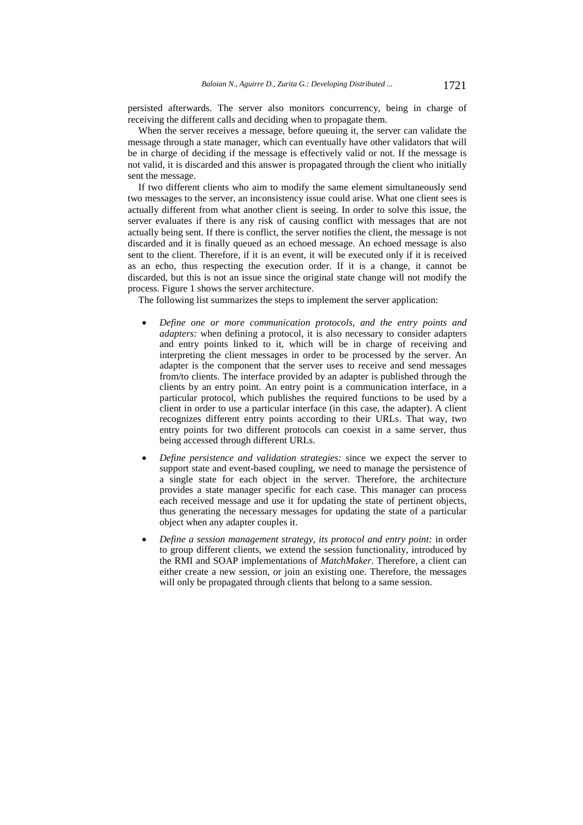persisted afterwards. The server also monitors concurrency, being in charge of receiving the different calls and deciding when to propagate them.

When the server receives a message, before queuing it, the server can validate the message through a state manager, which can eventually have other validators that will be in charge of deciding if the message is effectively valid or not. If the message is not valid, it is discarded and this answer is propagated through the client who initially sent the message.

If two different clients who aim to modify the same element simultaneously send two messages to the server, an inconsistency issue could arise. What one client sees is actually different from what another client is seeing. In order to solve this issue, the server evaluates if there is any risk of causing conflict with messages that are not actually being sent. If there is conflict, the server notifies the client, the message is not discarded and it is finally queued as an echoed message. An echoed message is also sent to the client. Therefore, if it is an event, it will be executed only if it is received as an echo, thus respecting the execution order. If it is a change, it cannot be discarded, but this is not an issue since the original state change will not modify the process. Figure 1 shows the server architecture.

The following list summarizes the steps to implement the server application:

- *Define one or more communication protocols, and the entry points and adapters:* when defining a protocol, it is also necessary to consider adapters and entry points linked to it, which will be in charge of receiving and interpreting the client messages in order to be processed by the server. An adapter is the component that the server uses to receive and send messages from/to clients. The interface provided by an adapter is published through the clients by an entry point. An entry point is a communication interface, in a particular protocol, which publishes the required functions to be used by a client in order to use a particular interface (in this case, the adapter). A client recognizes different entry points according to their URLs. That way, two entry points for two different protocols can coexist in a same server, thus being accessed through different URLs.
- *Define persistence and validation strategies:* since we expect the server to support state and event-based coupling, we need to manage the persistence of a single state for each object in the server. Therefore, the architecture provides a state manager specific for each case. This manager can process each received message and use it for updating the state of pertinent objects, thus generating the necessary messages for updating the state of a particular object when any adapter couples it.
- *Define a session management strategy, its protocol and entry point:* in order to group different clients, we extend the session functionality, introduced by the RMI and SOAP implementations of *MatchMaker*. Therefore, a client can either create a new session, or join an existing one. Therefore, the messages will only be propagated through clients that belong to a same session.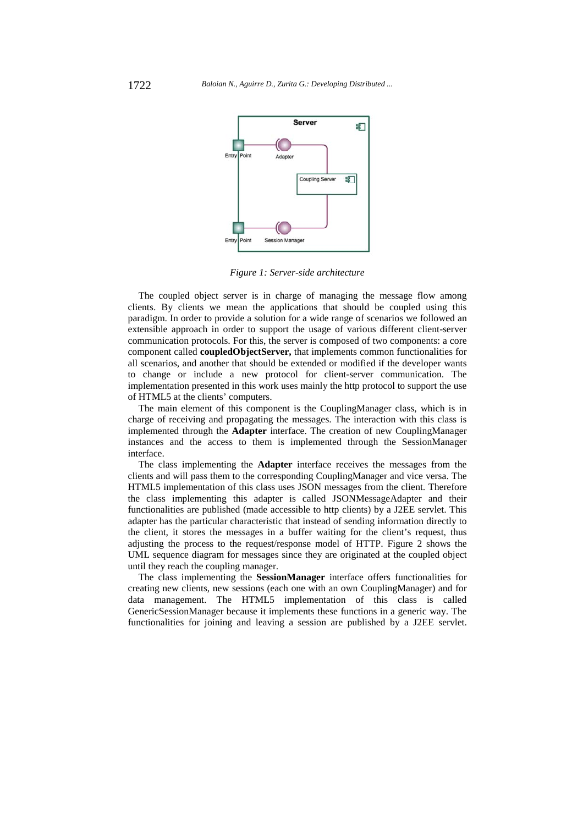

*Figure 1: Server-side architecture* 

The coupled object server is in charge of managing the message flow among clients. By clients we mean the applications that should be coupled using this paradigm. In order to provide a solution for a wide range of scenarios we followed an extensible approach in order to support the usage of various different client-server communication protocols. For this, the server is composed of two components: a core component called **coupledObjectServer,** that implements common functionalities for all scenarios, and another that should be extended or modified if the developer wants to change or include a new protocol for client-server communication. The implementation presented in this work uses mainly the http protocol to support the use of HTML5 at the clients' computers.

The main element of this component is the CouplingManager class, which is in charge of receiving and propagating the messages. The interaction with this class is implemented through the **Adapter** interface. The creation of new CouplingManager instances and the access to them is implemented through the SessionManager interface.

The class implementing the **Adapter** interface receives the messages from the clients and will pass them to the corresponding CouplingManager and vice versa. The HTML5 implementation of this class uses JSON messages from the client. Therefore the class implementing this adapter is called JSONMessageAdapter and their functionalities are published (made accessible to http clients) by a J2EE servlet. This adapter has the particular characteristic that instead of sending information directly to the client, it stores the messages in a buffer waiting for the client's request, thus adjusting the process to the request/response model of HTTP. Figure 2 shows the UML sequence diagram for messages since they are originated at the coupled object until they reach the coupling manager.

The class implementing the **SessionManager** interface offers functionalities for creating new clients, new sessions (each one with an own CouplingManager) and for data management. The HTML5 implementation of this class is called GenericSessionManager because it implements these functions in a generic way. The functionalities for joining and leaving a session are published by a J2EE servlet.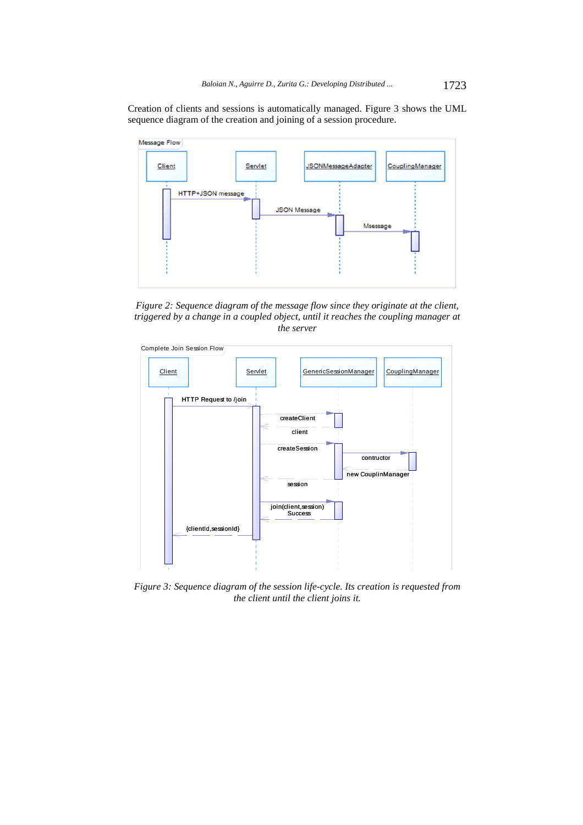Creation of clients and sessions is automatically managed. Figure 3 shows the UML sequence diagram of the creation and joining of a session procedure.



*Figure 2: Sequence diagram of the message flow since they originate at the client, triggered by a change in a coupled object, until it reaches the coupling manager at the server* 



*Figure 3: Sequence diagram of the session life-cycle. Its creation is requested from the client until the client joins it.*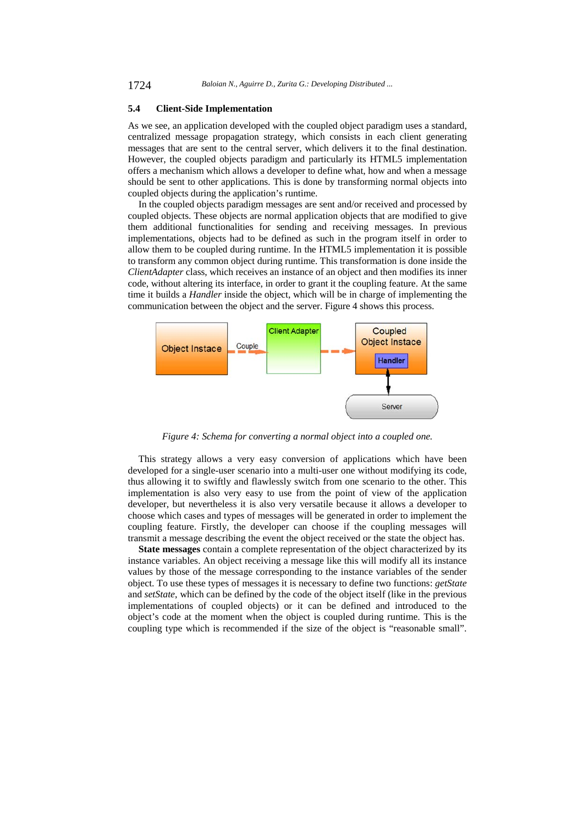#### **5.4 Client-Side Implementation**

As we see, an application developed with the coupled object paradigm uses a standard, centralized message propagation strategy, which consists in each client generating messages that are sent to the central server, which delivers it to the final destination. However, the coupled objects paradigm and particularly its HTML5 implementation offers a mechanism which allows a developer to define what, how and when a message should be sent to other applications. This is done by transforming normal objects into coupled objects during the application's runtime.

In the coupled objects paradigm messages are sent and/or received and processed by coupled objects. These objects are normal application objects that are modified to give them additional functionalities for sending and receiving messages. In previous implementations, objects had to be defined as such in the program itself in order to allow them to be coupled during runtime. In the HTML5 implementation it is possible to transform any common object during runtime. This transformation is done inside the *ClientAdapter* class, which receives an instance of an object and then modifies its inner code, without altering its interface, in order to grant it the coupling feature. At the same time it builds a *Handler* inside the object, which will be in charge of implementing the communication between the object and the server. Figure 4 shows this process.



*Figure 4: Schema for converting a normal object into a coupled one.* 

This strategy allows a very easy conversion of applications which have been developed for a single-user scenario into a multi-user one without modifying its code, thus allowing it to swiftly and flawlessly switch from one scenario to the other. This implementation is also very easy to use from the point of view of the application developer, but nevertheless it is also very versatile because it allows a developer to choose which cases and types of messages will be generated in order to implement the coupling feature. Firstly, the developer can choose if the coupling messages will transmit a message describing the event the object received or the state the object has.

**State messages** contain a complete representation of the object characterized by its instance variables. An object receiving a message like this will modify all its instance values by those of the message corresponding to the instance variables of the sender object. To use these types of messages it is necessary to define two functions: *getState* and *setState*, which can be defined by the code of the object itself (like in the previous implementations of coupled objects) or it can be defined and introduced to the object's code at the moment when the object is coupled during runtime. This is the coupling type which is recommended if the size of the object is "reasonable small".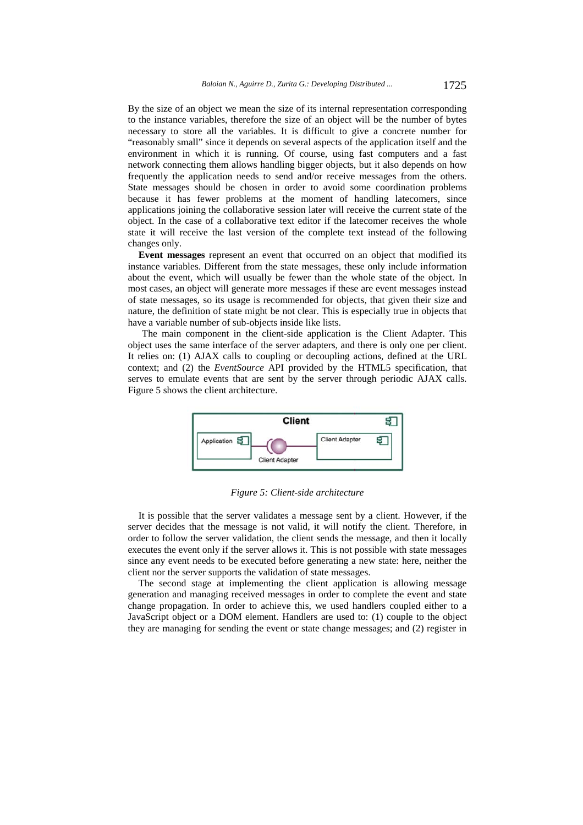By the size of an object we mean the size of its internal representation corresponding to the instance variables, therefore the size of an object will be the number of bytes necessary to store all the variables. It is difficult to give a concrete number for "reasonably small" since it depends on several aspects of the application itself and the environment in which it is running. Of course, using fast computers and a fast network connecting them allows handling bigger objects, but it also depends on how frequently the application needs to send and/or receive messages from the others. State messages should be chosen in order to avoid some coordination problems because it has fewer problems at the moment of handling latecomers, since applications joining the collaborative session later will receive the current state of the object. In the case of a collaborative text editor if the latecomer receives the whole state it will receive the last version of the complete text instead of the following changes only.

**Event messages** represent an event that occurred on an object that modified its instance variables. Different from the state messages, these only include information about the event, which will usually be fewer than the whole state of the object. In most cases, an object will generate more messages if these are event messages instead of state messages, so its usage is recommended for objects, that given their size and nature, the definition of state might be not clear. This is especially true in objects that have a variable number of sub-objects inside like lists.

The main component in the client-side application is the Client Adapter. This object uses the same interface of the server adapters, and there is only one per client. It relies on: (1) AJAX calls to coupling or decoupling actions, defined at the URL context; and (2) the *EventSource* API provided by the HTML5 specification, that serves to emulate events that are sent by the server through periodic AJAX calls. Figure 5 shows the client architecture.



*Figure 5: Client-side architecture* 

It is possible that the server validates a message sent by a client. However, if the server decides that the message is not valid, it will notify the client. Therefore, in order to follow the server validation, the client sends the message, and then it locally executes the event only if the server allows it. This is not possible with state messages since any event needs to be executed before generating a new state: here, neither the client nor the server supports the validation of state messages.

The second stage at implementing the client application is allowing message generation and managing received messages in order to complete the event and state change propagation. In order to achieve this, we used handlers coupled either to a JavaScript object or a DOM element. Handlers are used to: (1) couple to the object they are managing for sending the event or state change messages; and (2) register in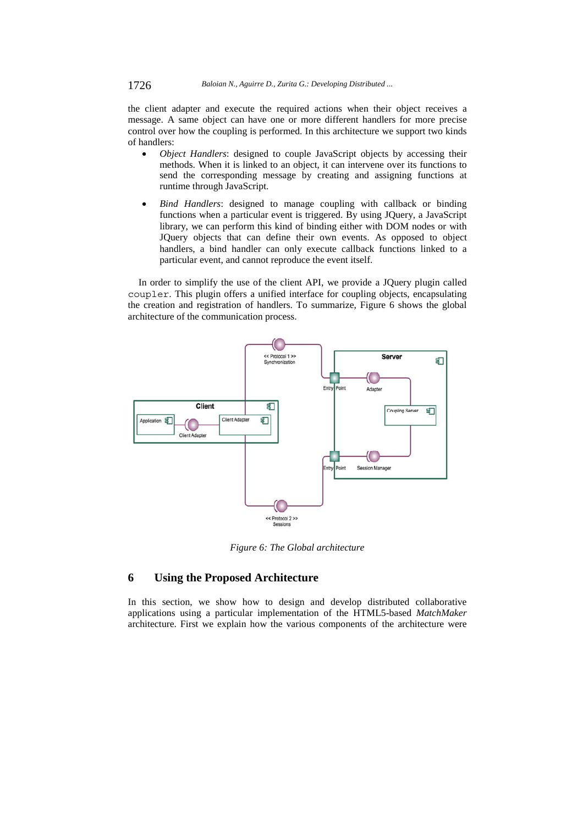the client adapter and execute the required actions when their object receives a message. A same object can have one or more different handlers for more precise control over how the coupling is performed. In this architecture we support two kinds of handlers:

- *Object Handlers*: designed to couple JavaScript objects by accessing their methods. When it is linked to an object, it can intervene over its functions to send the corresponding message by creating and assigning functions at runtime through JavaScript.
- *Bind Handlers*: designed to manage coupling with callback or binding functions when a particular event is triggered. By using JQuery, a JavaScript library, we can perform this kind of binding either with DOM nodes or with JQuery objects that can define their own events. As opposed to object handlers, a bind handler can only execute callback functions linked to a particular event, and cannot reproduce the event itself.

In order to simplify the use of the client API, we provide a JQuery plugin called coupler. This plugin offers a unified interface for coupling objects, encapsulating the creation and registration of handlers. To summarize, Figure 6 shows the global architecture of the communication process.



*Figure 6: The Global architecture* 

# **6 Using the Proposed Architecture**

In this section, we show how to design and develop distributed collaborative applications using a particular implementation of the HTML5-based *MatchMaker* architecture. First we explain how the various components of the architecture were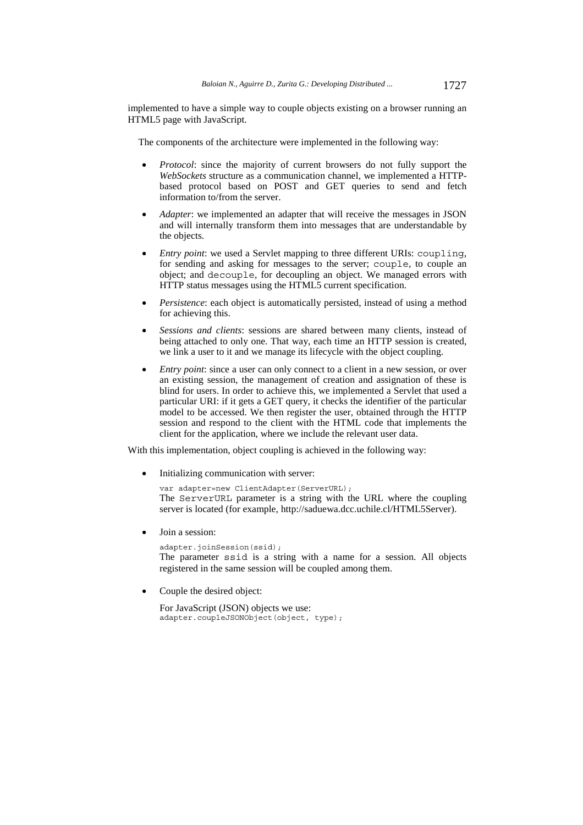implemented to have a simple way to couple objects existing on a browser running an HTML5 page with JavaScript.

The components of the architecture were implemented in the following way:

- *Protocol:* since the majority of current browsers do not fully support the *WebSockets* structure as a communication channel, we implemented a HTTPbased protocol based on POST and GET queries to send and fetch information to/from the server.
- *Adapter*: we implemented an adapter that will receive the messages in JSON and will internally transform them into messages that are understandable by the objects.
- *Entry point*: we used a Servlet mapping to three different URIs: coupling, for sending and asking for messages to the server; couple, to couple an object; and decouple, for decoupling an object. We managed errors with HTTP status messages using the HTML5 current specification.
- *Persistence*: each object is automatically persisted, instead of using a method for achieving this.
- *Sessions and clients*: sessions are shared between many clients, instead of being attached to only one. That way, each time an HTTP session is created, we link a user to it and we manage its lifecycle with the object coupling.
- *Entry point*: since a user can only connect to a client in a new session, or over an existing session, the management of creation and assignation of these is blind for users. In order to achieve this, we implemented a Servlet that used a particular URI: if it gets a GET query, it checks the identifier of the particular model to be accessed. We then register the user, obtained through the HTTP session and respond to the client with the HTML code that implements the client for the application, where we include the relevant user data.

With this implementation, object coupling is achieved in the following way:

Initializing communication with server:

var adapter=new ClientAdapter(ServerURL); The ServerURL parameter is a string with the URL where the coupling server is located (for example, http://saduewa.dcc.uchile.cl/HTML5Server).

Join a session:

adapter.joinSession(ssid); The parameter ssid is a string with a name for a session. All objects registered in the same session will be coupled among them.

Couple the desired object:

For JavaScript (JSON) objects we use: adapter.coupleJSONObject(object, type);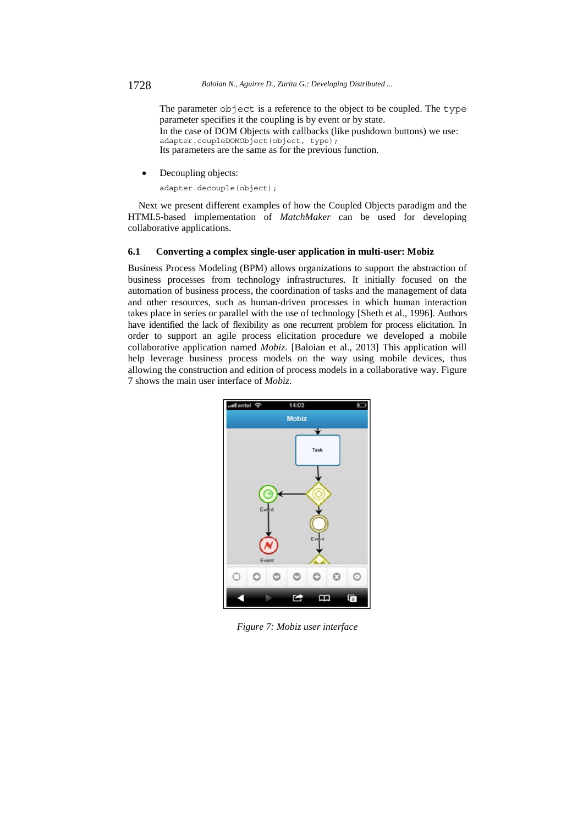The parameter object is a reference to the object to be coupled. The type parameter specifies it the coupling is by event or by state. In the case of DOM Objects with callbacks (like pushdown buttons) we use: adapter.coupleDOMObject(object, type); Its parameters are the same as for the previous function.

Decoupling objects:

adapter.decouple(object);

Next we present different examples of how the Coupled Objects paradigm and the HTML5-based implementation of *MatchMaker* can be used for developing collaborative applications.

### **6.1 Converting a complex single-user application in multi-user: Mobiz**

Business Process Modeling (BPM) allows organizations to support the abstraction of business processes from technology infrastructures. It initially focused on the automation of business process, the coordination of tasks and the management of data and other resources, such as human-driven processes in which human interaction takes place in series or parallel with the use of technology [Sheth et al., 1996]. Authors have identified the lack of flexibility as one recurrent problem for process elicitation. In order to support an agile process elicitation procedure we developed a mobile collaborative application named *Mobiz*. [Baloian et al., 2013] This application will help leverage business process models on the way using mobile devices, thus allowing the construction and edition of process models in a collaborative way. Figure 7 shows the main user interface of *Mobiz*.



*Figure 7: Mobiz user interface*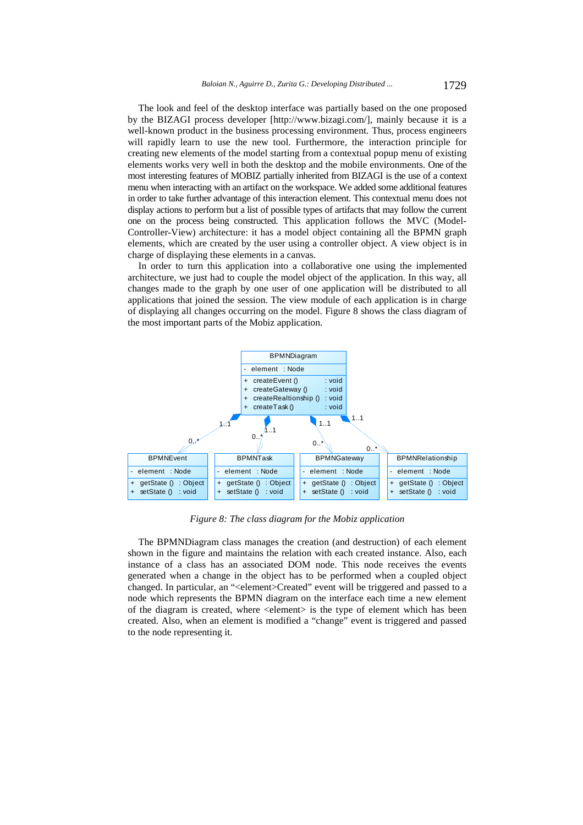The look and feel of the desktop interface was partially based on the one proposed by the BIZAGI process developer [http://www.bizagi.com/], mainly because it is a well-known product in the business processing environment. Thus, process engineers will rapidly learn to use the new tool. Furthermore, the interaction principle for creating new elements of the model starting from a contextual popup menu of existing elements works very well in both the desktop and the mobile environments. One of the most interesting features of MOBIZ partially inherited from BIZAGI is the use of a context menu when interacting with an artifact on the workspace. We added some additional features in order to take further advantage of this interaction element. This contextual menu does not display actions to perform but a list of possible types of artifacts that may follow the current one on the process being constructed. This application follows the MVC (Model-Controller-View) architecture: it has a model object containing all the BPMN graph elements, which are created by the user using a controller object. A view object is in charge of displaying these elements in a canvas.

In order to turn this application into a collaborative one using the implemented architecture, we just had to couple the model object of the application. In this way, all changes made to the graph by one user of one application will be distributed to all applications that joined the session. The view module of each application is in charge of displaying all changes occurring on the model. Figure 8 shows the class diagram of the most important parts of the Mobiz application.



*Figure 8: The class diagram for the Mobiz application* 

The BPMNDiagram class manages the creation (and destruction) of each element shown in the figure and maintains the relation with each created instance. Also, each instance of a class has an associated DOM node. This node receives the events generated when a change in the object has to be performed when a coupled object changed. In particular, an "<element>Created" event will be triggered and passed to a node which represents the BPMN diagram on the interface each time a new element of the diagram is created, where <element> is the type of element which has been created. Also, when an element is modified a "change" event is triggered and passed to the node representing it.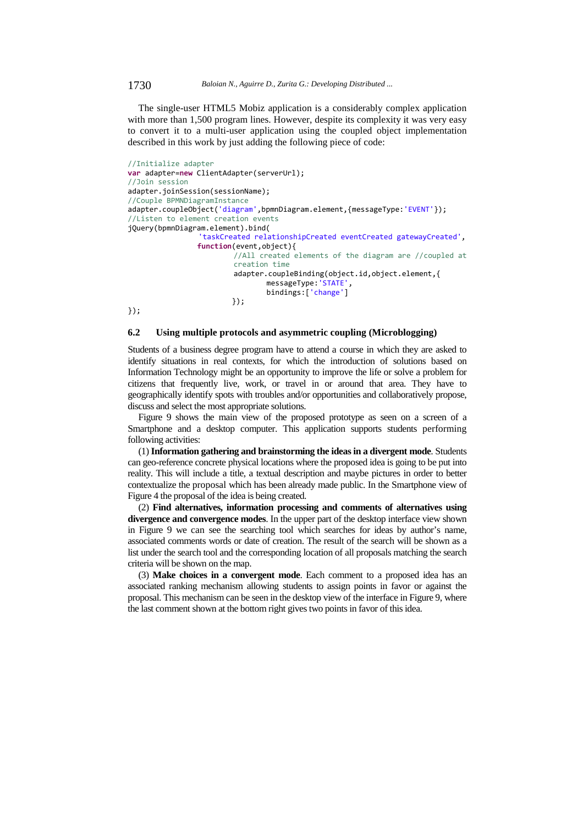1730 *Baloian N., Aguirre D., Zurita G.: Developing Distributed ...*

The single-user HTML5 Mobiz application is a considerably complex application with more than 1,500 program lines. However, despite its complexity it was very easy to convert it to a multi-user application using the coupled object implementation described in this work by just adding the following piece of code:

```
//Initialize adapter
var adapter=new ClientAdapter(serverUrl); 
//Join session
adapter.joinSession(sessionName);
//Couple BPMNDiagramInstance
adapter.coupleObject('diagram',bpmnDiagram.element,{messageType:'EVENT'});
//Listen to element creation events
jQuery(bpmnDiagram.element).bind( 
                 'taskCreated relationshipCreated eventCreated gatewayCreated', 
                 function(event,object){ 
                         //All created elements of the diagram are //coupled at 
                         creation time 
                         adapter.coupleBinding(object.id,object.element,{ 
                                  messageType:'STATE', 
                                  bindings:['change'] 
                          });
```
});

### **6.2 Using multiple protocols and asymmetric coupling (Microblogging)**

Students of a business degree program have to attend a course in which they are asked to identify situations in real contexts, for which the introduction of solutions based on Information Technology might be an opportunity to improve the life or solve a problem for citizens that frequently live, work, or travel in or around that area. They have to geographically identify spots with troubles and/or opportunities and collaboratively propose, discuss and select the most appropriate solutions.

Figure 9 shows the main view of the proposed prototype as seen on a screen of a Smartphone and a desktop computer. This application supports students performing following activities:

(1) **Information gathering and brainstorming the ideas in a divergent mode**. Students can geo-reference concrete physical locations where the proposed idea is going to be put into reality. This will include a title, a textual description and maybe pictures in order to better contextualize the proposal which has been already made public. In the Smartphone view of Figure 4 the proposal of the idea is being created.

(2) **Find alternatives, information processing and comments of alternatives using divergence and convergence modes**. In the upper part of the desktop interface view shown in Figure 9 we can see the searching tool which searches for ideas by author's name, associated comments words or date of creation. The result of the search will be shown as a list under the search tool and the corresponding location of all proposals matching the search criteria will be shown on the map.

(3) **Make choices in a convergent mode**. Each comment to a proposed idea has an associated ranking mechanism allowing students to assign points in favor or against the proposal. This mechanism can be seen in the desktop view of the interface in Figure 9, where the last comment shown at the bottom right gives two points in favor of this idea.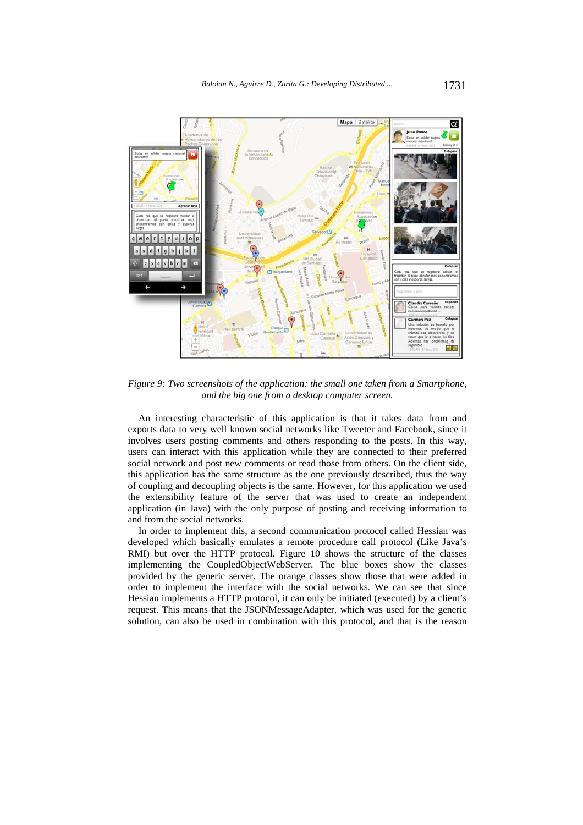

*Figure 9: Two screenshots of the application: the small one taken from a Smartphone, and the big one from a desktop computer screen.* 

An interesting characteristic of this application is that it takes data from and exports data to very well known social networks like Tweeter and Facebook, since it involves users posting comments and others responding to the posts. In this way, users can interact with this application while they are connected to their preferred social network and post new comments or read those from others. On the client side, this application has the same structure as the one previously described, thus the way of coupling and decoupling objects is the same. However, for this application we used the extensibility feature of the server that was used to create an independent application (in Java) with the only purpose of posting and receiving information to and from the social networks.

In order to implement this, a second communication protocol called Hessian was developed which basically emulates a remote procedure call protocol (Like Java's RMI) but over the HTTP protocol. Figure 10 shows the structure of the classes implementing the CoupledObjectWebServer. The blue boxes show the classes provided by the generic server. The orange classes show those that were added in order to implement the interface with the social networks. We can see that since Hessian implements a HTTP protocol, it can only be initiated (executed) by a client's request. This means that the JSONMessageAdapter, which was used for the generic solution, can also be used in combination with this protocol, and that is the reason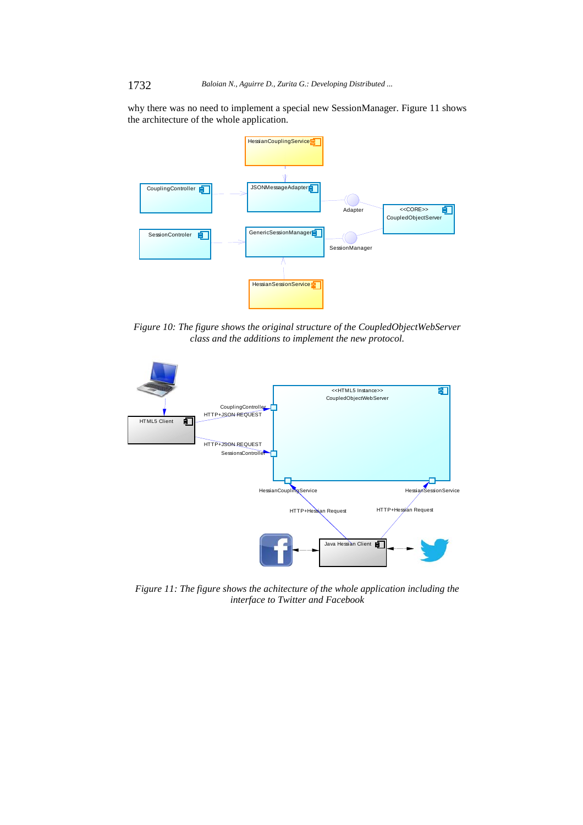why there was no need to implement a special new SessionManager. Figure 11 shows the architecture of the whole application.



*Figure 10: The figure shows the original structure of the CoupledObjectWebServer class and the additions to implement the new protocol.* 



*Figure 11: The figure shows the achitecture of the whole application including the interface to Twitter and Facebook*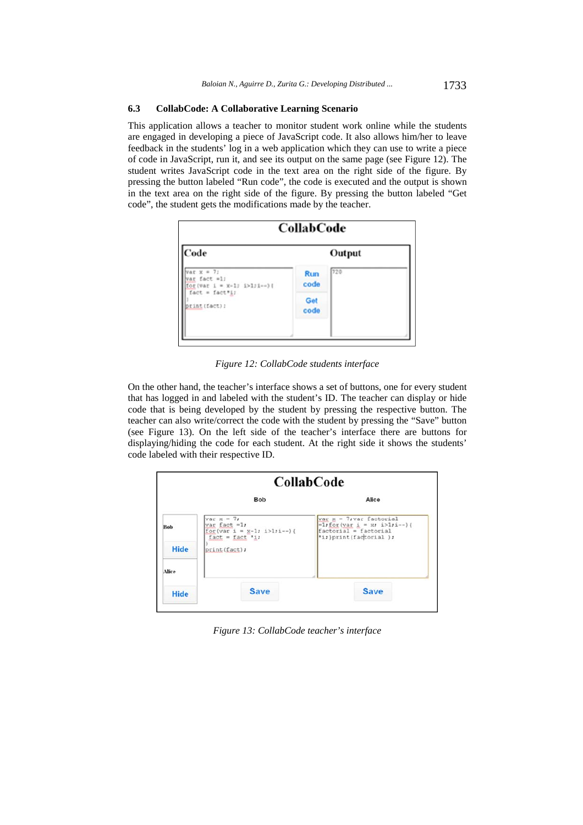### **6.3 CollabCode: A Collaborative Learning Scenario**

This application allows a teacher to monitor student work online while the students are engaged in developing a piece of JavaScript code. It also allows him/her to leave feedback in the students' log in a web application which they can use to write a piece of code in JavaScript, run it, and see its output on the same page (see Figure 12). The student writes JavaScript code in the text area on the right side of the figure. By pressing the button labeled "Run code", the code is executed and the output is shown in the text area on the right side of the figure. By pressing the button labeled "Get code", the student gets the modifications made by the teacher.



*Figure 12: CollabCode students interface* 

On the other hand, the teacher's interface shows a set of buttons, one for every student that has logged in and labeled with the student's ID. The teacher can display or hide code that is being developed by the student by pressing the respective button. The teacher can also write/correct the code with the student by pressing the "Save" button (see Figure 13). On the left side of the teacher's interface there are buttons for displaying/hiding the code for each student. At the right side it shows the students' code labeled with their respective ID.



*Figure 13: CollabCode teacher's interface*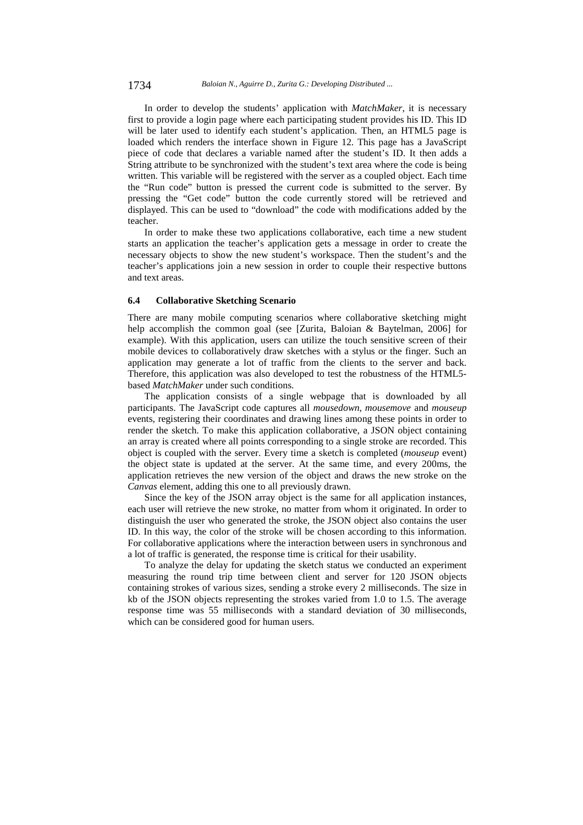In order to develop the students' application with *MatchMaker*, it is necessary first to provide a login page where each participating student provides his ID. This ID will be later used to identify each student's application. Then, an HTML5 page is loaded which renders the interface shown in Figure 12. This page has a JavaScript piece of code that declares a variable named after the student's ID. It then adds a String attribute to be synchronized with the student's text area where the code is being written. This variable will be registered with the server as a coupled object. Each time the "Run code" button is pressed the current code is submitted to the server. By pressing the "Get code" button the code currently stored will be retrieved and displayed. This can be used to "download" the code with modifications added by the teacher.

In order to make these two applications collaborative, each time a new student starts an application the teacher's application gets a message in order to create the necessary objects to show the new student's workspace. Then the student's and the teacher's applications join a new session in order to couple their respective buttons and text areas.

#### **6.4 Collaborative Sketching Scenario**

There are many mobile computing scenarios where collaborative sketching might help accomplish the common goal (see [Zurita, Baloian & Baytelman, 2006] for example). With this application, users can utilize the touch sensitive screen of their mobile devices to collaboratively draw sketches with a stylus or the finger. Such an application may generate a lot of traffic from the clients to the server and back. Therefore, this application was also developed to test the robustness of the HTML5 based *MatchMaker* under such conditions.

The application consists of a single webpage that is downloaded by all participants. The JavaScript code captures all *mousedown*, *mousemove* and *mouseup* events, registering their coordinates and drawing lines among these points in order to render the sketch. To make this application collaborative, a JSON object containing an array is created where all points corresponding to a single stroke are recorded. This object is coupled with the server. Every time a sketch is completed (*mouseup* event) the object state is updated at the server. At the same time, and every 200ms, the application retrieves the new version of the object and draws the new stroke on the *Canvas* element, adding this one to all previously drawn.

Since the key of the JSON array object is the same for all application instances, each user will retrieve the new stroke, no matter from whom it originated. In order to distinguish the user who generated the stroke, the JSON object also contains the user ID. In this way, the color of the stroke will be chosen according to this information. For collaborative applications where the interaction between users in synchronous and a lot of traffic is generated, the response time is critical for their usability.

To analyze the delay for updating the sketch status we conducted an experiment measuring the round trip time between client and server for 120 JSON objects containing strokes of various sizes, sending a stroke every 2 milliseconds. The size in kb of the JSON objects representing the strokes varied from 1.0 to 1.5. The average response time was 55 milliseconds with a standard deviation of 30 milliseconds, which can be considered good for human users.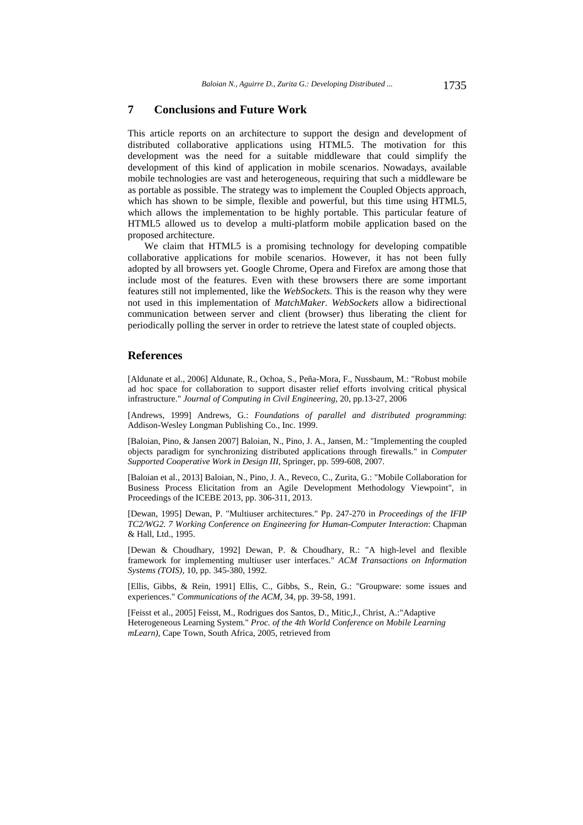# **7 Conclusions and Future Work**

This article reports on an architecture to support the design and development of distributed collaborative applications using HTML5. The motivation for this development was the need for a suitable middleware that could simplify the development of this kind of application in mobile scenarios. Nowadays, available mobile technologies are vast and heterogeneous, requiring that such a middleware be as portable as possible. The strategy was to implement the Coupled Objects approach, which has shown to be simple, flexible and powerful, but this time using HTML5, which allows the implementation to be highly portable. This particular feature of HTML5 allowed us to develop a multi-platform mobile application based on the proposed architecture.

We claim that HTML5 is a promising technology for developing compatible collaborative applications for mobile scenarios. However, it has not been fully adopted by all browsers yet. Google Chrome, Opera and Firefox are among those that include most of the features. Even with these browsers there are some important features still not implemented, like the *WebSockets.* This is the reason why they were not used in this implementation of *MatchMaker*. *WebSockets* allow a bidirectional communication between server and client (browser) thus liberating the client for periodically polling the server in order to retrieve the latest state of coupled objects.

### **References**

[Aldunate et al., 2006] Aldunate, R., Ochoa, S., Peña-Mora, F., Nussbaum, M.: "Robust mobile ad hoc space for collaboration to support disaster relief efforts involving critical physical infrastructure." *Journal of Computing in Civil Engineering,* 20, pp.13-27, 2006

[Andrews, 1999] Andrews, G.: *Foundations of parallel and distributed programming*: Addison-Wesley Longman Publishing Co., Inc. 1999.

[Baloian, Pino, & Jansen 2007] Baloian, N., Pino, J. A., Jansen, M.: "Implementing the coupled objects paradigm for synchronizing distributed applications through firewalls." in *Computer Supported Cooperative Work in Design III*, Springer, pp. 599-608, 2007.

[Baloian et al., 2013] Baloian, N., Pino, J. A., Reveco, C., Zurita, G.: "Mobile Collaboration for Business Process Elicitation from an Agile Development Methodology Viewpoint", in Proceedings of the ICEBE 2013, pp. 306-311, 2013.

[Dewan, 1995] Dewan, P. "Multiuser architectures." Pp. 247-270 in *Proceedings of the IFIP TC2/WG2. 7 Working Conference on Engineering for Human-Computer Interaction*: Chapman & Hall, Ltd., 1995.

[Dewan & Choudhary, 1992] Dewan, P. & Choudhary, R.: "A high-level and flexible framework for implementing multiuser user interfaces." *ACM Transactions on Information Systems (TOIS),* 10, pp. 345-380, 1992.

[Ellis, Gibbs, & Rein, 1991] Ellis, C., Gibbs, S., Rein, G.: "Groupware: some issues and experiences." *Communications of the ACM,* 34, pp. 39-58, 1991.

[Feisst et al., 2005] Feisst, M., Rodrigues dos Santos, D., Mitic,J., Christ, A.:"Adaptive Heterogeneous Learning System." *Proc. of the 4th World Conference on Mobile Learning mLearn),* Cape Town, South Africa, 2005, retrieved from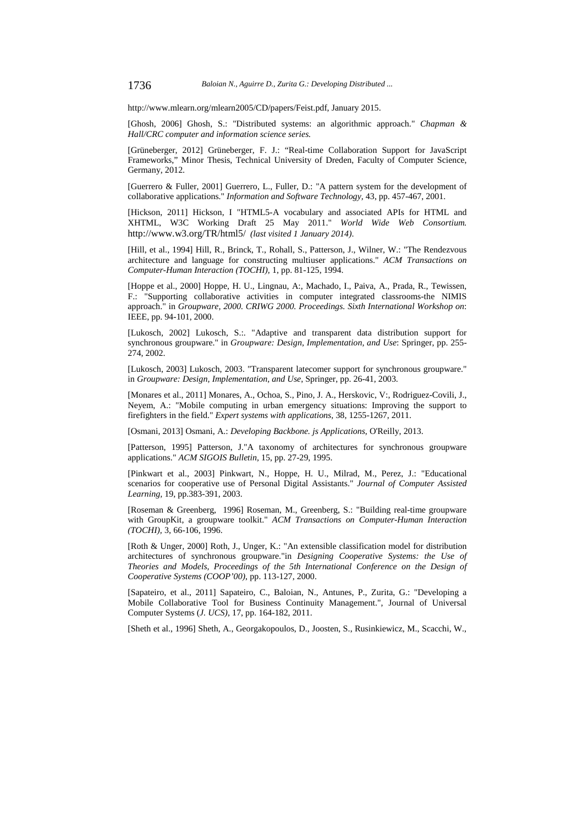http://www.mlearn.org/mlearn2005/CD/papers/Feist.pdf, January 2015.

[Ghosh, 2006] Ghosh, S.: "Distributed systems: an algorithmic approach." *Chapman & Hall/CRC computer and information science series.* 

[Grüneberger, 2012] Grüneberger, F. J.: "Real-time Collaboration Support for JavaScript Frameworks," Minor Thesis, Technical University of Dreden, Faculty of Computer Science, Germany, 2012.

[Guerrero & Fuller, 2001] Guerrero, L., Fuller, D.: "A pattern system for the development of collaborative applications." *Information and Software Technology,* 43, pp. 457-467, 2001.

[Hickson, 2011] Hickson, I "HTML5-A vocabulary and associated APIs for HTML and XHTML, W3C Working Draft 25 May 2011." *World Wide Web Consortium.*  http://www.w3.org/TR/html5/ *(last visited 1 January 2014)*.

[Hill, et al., 1994] Hill, R., Brinck, T., Rohall, S., Patterson, J., Wilner, W.: "The Rendezvous architecture and language for constructing multiuser applications." *ACM Transactions on Computer-Human Interaction (TOCHI),* 1, pp. 81-125, 1994.

[Hoppe et al., 2000] Hoppe, H. U., Lingnau, A:, Machado, I., Paiva, A., Prada, R., Tewissen, F.: "Supporting collaborative activities in computer integrated classrooms-the NIMIS approach." in *Groupware, 2000. CRIWG 2000. Proceedings. Sixth International Workshop on*: IEEE, pp. 94-101, 2000.

[Lukosch, 2002] Lukosch, S.:. "Adaptive and transparent data distribution support for synchronous groupware." in *Groupware: Design, Implementation, and Use*: Springer, pp. 255- 274, 2002.

[Lukosch, 2003] Lukosch, 2003. "Transparent latecomer support for synchronous groupware." in *Groupware: Design, Implementation, and Use*, Springer, pp. 26-41, 2003.

[Monares et al., 2011] Monares, A., Ochoa, S., Pino, J. A., Herskovic, V:, Rodriguez-Covili, J., Neyem, A.: "Mobile computing in urban emergency situations: Improving the support to firefighters in the field." *Expert systems with applications,* 38, 1255-1267, 2011.

[Osmani, 2013] Osmani, A.: *Developing Backbone. js Applications*, O'Reilly, 2013.

[Patterson, 1995] Patterson, J."A taxonomy of architectures for synchronous groupware applications." *ACM SIGOIS Bulletin,* 15, pp. 27-29, 1995.

[Pinkwart et al., 2003] Pinkwart, N., Hoppe, H. U., Milrad, M., Perez, J.: "Educational scenarios for cooperative use of Personal Digital Assistants." *Journal of Computer Assisted Learning,* 19, pp.383-391, 2003.

[Roseman & Greenberg, 1996] Roseman, M., Greenberg, S.: "Building real-time groupware with GroupKit, a groupware toolkit." *ACM Transactions on Computer-Human Interaction (TOCHI),* 3, 66-106, 1996.

[Roth & Unger, 2000] Roth, J., Unger, K.: "An extensible classification model for distribution architectures of synchronous groupware."in *Designing Cooperative Systems: the Use of Theories and Models, Proceedings of the 5th International Conference on the Design of Cooperative Systems (COOP'00)*, pp. 113-127, 2000.

[Sapateiro, et al., 2011] Sapateiro, C., Baloian, N., Antunes, P., Zurita, G.: "Developing a Mobile Collaborative Tool for Business Continuity Management.", Journal of Universal Computer Systems (*J. UCS),* 17, pp. 164-182, 2011.

[Sheth et al., 1996] Sheth, A., Georgakopoulos, D., Joosten, S., Rusinkiewicz, M., Scacchi, W.,